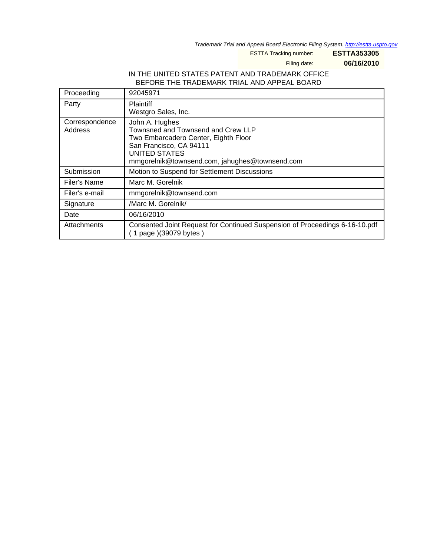Trademark Trial and Appeal Board Electronic Filing System. <http://estta.uspto.gov>

ESTTA Tracking number: **ESTTA353305**

Filing date: **06/16/2010**

## IN THE UNITED STATES PATENT AND TRADEMARK OFFICE BEFORE THE TRADEMARK TRIAL AND APPEAL BOARD

| Proceeding                | 92045971                                                                                                                                                                                          |
|---------------------------|---------------------------------------------------------------------------------------------------------------------------------------------------------------------------------------------------|
| Party                     | <b>Plaintiff</b><br>Westgro Sales, Inc.                                                                                                                                                           |
| Correspondence<br>Address | John A. Hughes<br>Townsned and Townsend and Crew LLP<br>Two Embarcadero Center, Eighth Floor<br>San Francisco, CA 94111<br><b>UNITED STATES</b><br>mmgorelnik@townsend.com, jahughes@townsend.com |
| Submission                | Motion to Suspend for Settlement Discussions                                                                                                                                                      |
| Filer's Name              | Marc M. Gorelnik                                                                                                                                                                                  |
| Filer's e-mail            | mmgorelnik@townsend.com                                                                                                                                                                           |
| Signature                 | /Marc M. Gorelnik/                                                                                                                                                                                |
| Date                      | 06/16/2010                                                                                                                                                                                        |
| Attachments               | Consented Joint Request for Continued Suspension of Proceedings 6-16-10.pdf<br>(1 page)(39079 bytes)                                                                                              |